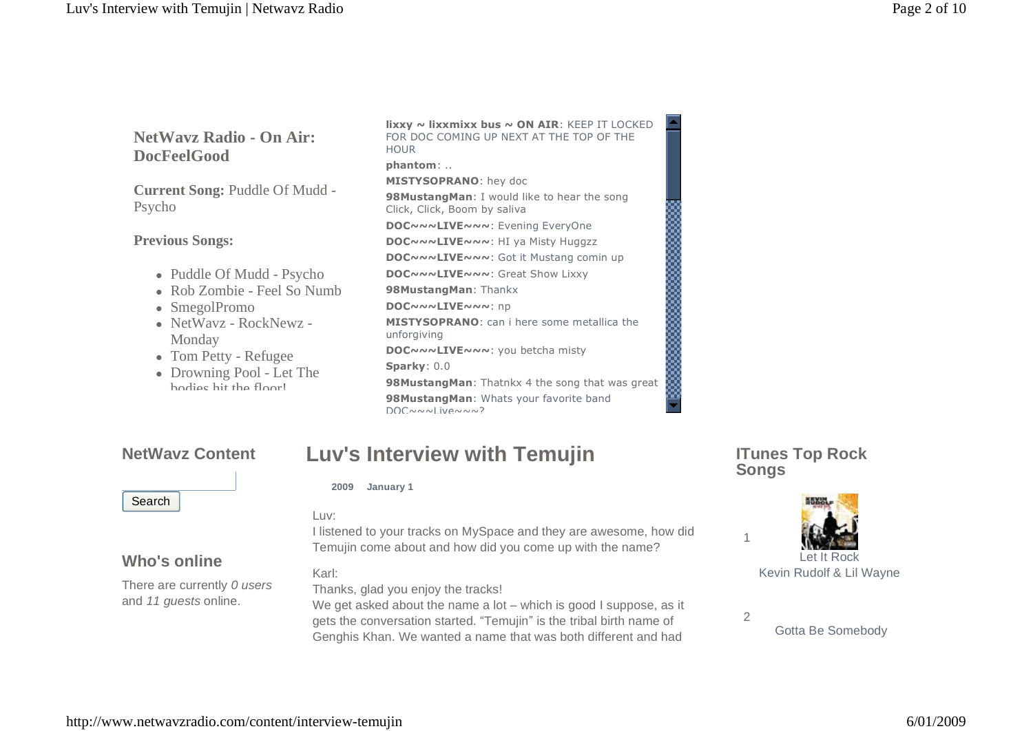## **NetWavz Radio - On Air: DocFeelGood**

**Current Song:** Puddle Of Mudd -Psycho

### **Previous Songs:**

- Puddle Of Mudd Psycho
- Rob Zombie Feel So Numb
- SmegolPromo
- NetWavz RockNewz -Monday
- Tom Petty Refugee
- Drowning Pool Let The bodies hit the floor!

**lixxy ~ lixxmixx bus ~ ON AIR**: KEEP IT LOCKED FOR DOC COMING UP NEXT AT THE TOP OF THE **HOUR phantom**: .. **MISTYSOPRANO**: hey doc **98MustangMan**: I would like to hear the song Click, Click, Boom by saliva **DOC~~~LIVE~~~**: Evening EveryOne **DOC~~~LIVE~~~**: HI ya Misty Huggzz **DOC~~~LIVE~~~**: Got it Mustang comin up **DOC~~~LIVE~~~**: Great Show Lixxy **98MustangMan**: Thankx **DOC~~~LIVE~~~**: np **MISTYSOPRANO**: can i here some metallica the unforgiving **DOC~~~LIVE~~~**: you betcha misty **Sparky**: 0.0 Click, Click, Boom by saliva<br> **DOC**<br> **DOC**<br> **POC**<br> **POC**<br> **POC**<br> **POC**<br> **POC**<br> **POC**<br> **POC**<br> **POC**<br> **POC**<br> **POC**<br> **POC**<br> **POC**<br> **POC**<br> **POC**<br> **POC**<br> **POC**<br> **POC**<br> **POC**<br> **POC**<br> **POC**<br> **POC**<br> **POC**<br> **POC**<br> **POC**<br> **POC**<br> **PO 98MustangMan**: Whats your favorite band DOC~~~I iVA~~~?

## **NetWavz Content**

# **Search**

**Who's online**

There are currently 0 users and 11 guests online.

# **2009 January 1**

#### Luv:

I listened to your tracks on MySpace and they are awesome, how did Temujin come about and how did you come up with the name?

**Luv's Interview with Temujin**

### Karl:

Thanks, glad you enjoy the tracks!

We get asked about the name a lot  $-$  which is good I suppose, as it gets the conversation started. "Temujin" is the tribal birth name of Genghis Khan. We wanted a name that was both different and had

## **ITunes Top Rock Songs**



Kevin Rudolf & Lil Wayne

Gotta Be Somebody

1

2

### [http://www.netwavzradio.com/content/interview-temujin](http://www.netwavzradio.com/content/interview) 6/01/2009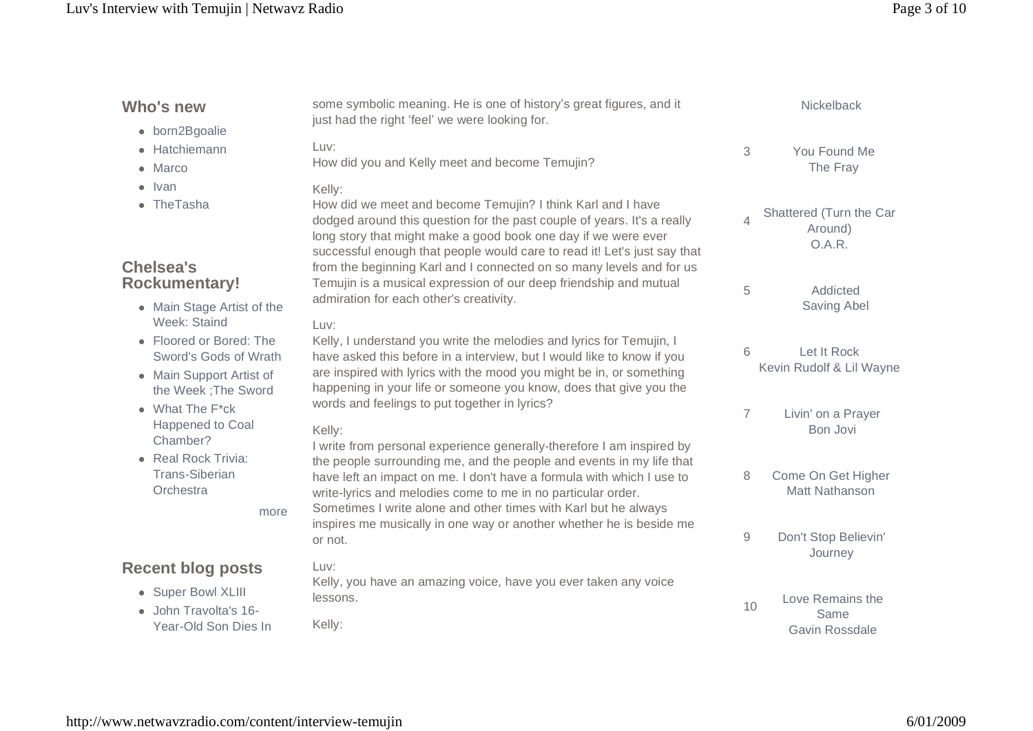## Luv's Interview with Temujin | Netwavz Radio Page 3 of 10

| Who's new<br>· born2Bgoalie<br>• Hatchiemann<br>• Marco<br>$\bullet$ Ivan<br>• The Tasha<br><b>Chelsea's</b><br><b>Rockumentary!</b><br>• Main Stage Artist of the<br>Week: Staind<br>• Floored or Bored: The<br>Sword's Gods of Wrath<br>• Main Support Artist of<br>the Week; The Sword<br>$\bullet$ What The $F^*$ ck<br>Happened to Coal<br>Chamber?<br>• Real Rock Trivia:<br><b>Trans-Siberian</b><br>Orchestra<br>more | some symbolic meaning. He is one of history's great figures, and it<br>just had the right 'feel' we were looking for.                                                                                                                                                                                                                                                                                                                                                                  |                | Nickelback                                   |
|-------------------------------------------------------------------------------------------------------------------------------------------------------------------------------------------------------------------------------------------------------------------------------------------------------------------------------------------------------------------------------------------------------------------------------|----------------------------------------------------------------------------------------------------------------------------------------------------------------------------------------------------------------------------------------------------------------------------------------------------------------------------------------------------------------------------------------------------------------------------------------------------------------------------------------|----------------|----------------------------------------------|
|                                                                                                                                                                                                                                                                                                                                                                                                                               | Luv:<br>How did you and Kelly meet and become Temujin?                                                                                                                                                                                                                                                                                                                                                                                                                                 | 3              | You Found Me<br>The Fray                     |
|                                                                                                                                                                                                                                                                                                                                                                                                                               | Kelly:<br>How did we meet and become Temujin? I think Karl and I have<br>dodged around this question for the past couple of years. It's a really<br>long story that might make a good book one day if we were ever<br>successful enough that people would care to read it! Let's just say that<br>from the beginning Karl and I connected on so many levels and for us<br>Temujin is a musical expression of our deep friendship and mutual<br>admiration for each other's creativity. | $\overline{4}$ | Shattered (Turn the Car<br>Around)<br>O.A.R. |
|                                                                                                                                                                                                                                                                                                                                                                                                                               |                                                                                                                                                                                                                                                                                                                                                                                                                                                                                        | 5              | Addicted<br>Saving Abel                      |
|                                                                                                                                                                                                                                                                                                                                                                                                                               | Luv:<br>Kelly, I understand you write the melodies and lyrics for Temujin, I<br>have asked this before in a interview, but I would like to know if you<br>are inspired with lyrics with the mood you might be in, or something<br>happening in your life or someone you know, does that give you the                                                                                                                                                                                   | 6              | Let It Rock<br>Kevin Rudolf & Lil Wayne      |
|                                                                                                                                                                                                                                                                                                                                                                                                                               | words and feelings to put together in lyrics?<br>Kelly:                                                                                                                                                                                                                                                                                                                                                                                                                                | $\overline{7}$ | Livin' on a Prayer<br>Bon Jovi               |
|                                                                                                                                                                                                                                                                                                                                                                                                                               | I write from personal experience generally-therefore I am inspired by<br>the people surrounding me, and the people and events in my life that<br>have left an impact on me. I don't have a formula with which I use to<br>write-lyrics and melodies come to me in no particular order.<br>Sometimes I write alone and other times with Karl but he always                                                                                                                              | 8              | Come On Get Higher<br>Matt Nathanson         |
|                                                                                                                                                                                                                                                                                                                                                                                                                               | inspires me musically in one way or another whether he is beside me<br>or not.                                                                                                                                                                                                                                                                                                                                                                                                         | $\overline{9}$ | Don't Stop Believin'<br>Journey              |
| <b>Recent blog posts</b><br>• Super Bowl XLIII<br>· John Travolta's 16-                                                                                                                                                                                                                                                                                                                                                       | Luv:<br>Kelly, you have an amazing voice, have you ever taken any voice<br>lessons.                                                                                                                                                                                                                                                                                                                                                                                                    | 10             | Love Remains the<br>Same                     |
| Year-Old Son Dies In                                                                                                                                                                                                                                                                                                                                                                                                          | Kelly:                                                                                                                                                                                                                                                                                                                                                                                                                                                                                 |                | <b>Gavin Rossdale</b>                        |

## [http://www.netwavzradio.com/content/interview-temujin](http://www.netwavzradio.com/content/interview) 6/01/2009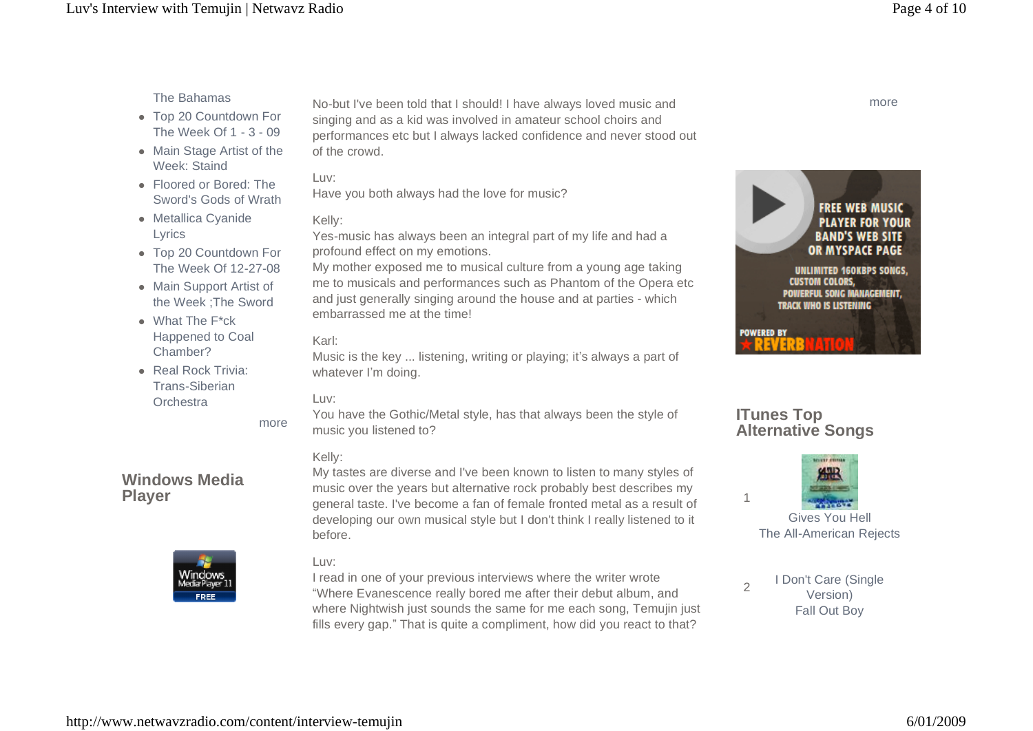## The Bahamas

- Top 20 Countdown For The Week Of 1 - 3 - 09
- Main Stage Artist of the Week: Staind
- Floored or Bored: The Sword's Gods of Wrath
- Metallica Cyanide Lyrics
- Top 20 Countdown For The Week Of 12-27-08
- Main Support Artist of the Week ;The Sword
- What The F\*ck Happened to Coal Chamber?
- **Real Rock Trivia:** Trans-Siberian **Orchestra**

more

## **Windows Media Player**



No-but I've been told that I should! I have always loved music and singing and as a kid was involved in amateur school choirs and performances etc but I always lacked confidence and never stood out of the crowd.

### Luv:

Have you both always had the love for music?

### Kelly:

Yes-music has always been an integral part of my life and had a profound effect on my emotions.

My mother exposed me to musical culture from a young age taking me to musicals and performances such as Phantom of the Opera etc and just generally singing around the house and at parties - which embarrassed me at the time!

### Karl:

Music is the key ... listening, writing or playing; it's always a part of whatever I'm doing.

### Luv:

You have the Gothic/Metal style, has that always been the style of music you listened to?

### Kelly:

My tastes are diverse and I've been known to listen to many styles of music over the years but alternative rock probably best describes my general taste. I've become a fan of female fronted metal as a result of developing our own musical style but I don't think I really listened to it before.

### Luv:

I read in one of your previous interviews where the writer wrote ìWhere Evanescence really bored me after their debut album, and where Nightwish just sounds the same for me each song, Temujin just fills every gap." That is quite a compliment, how did you react to that?



## **ITunes Top Alternative Songs**



<sup>2</sup> I Don't Care (Single Version) Fall Out Boy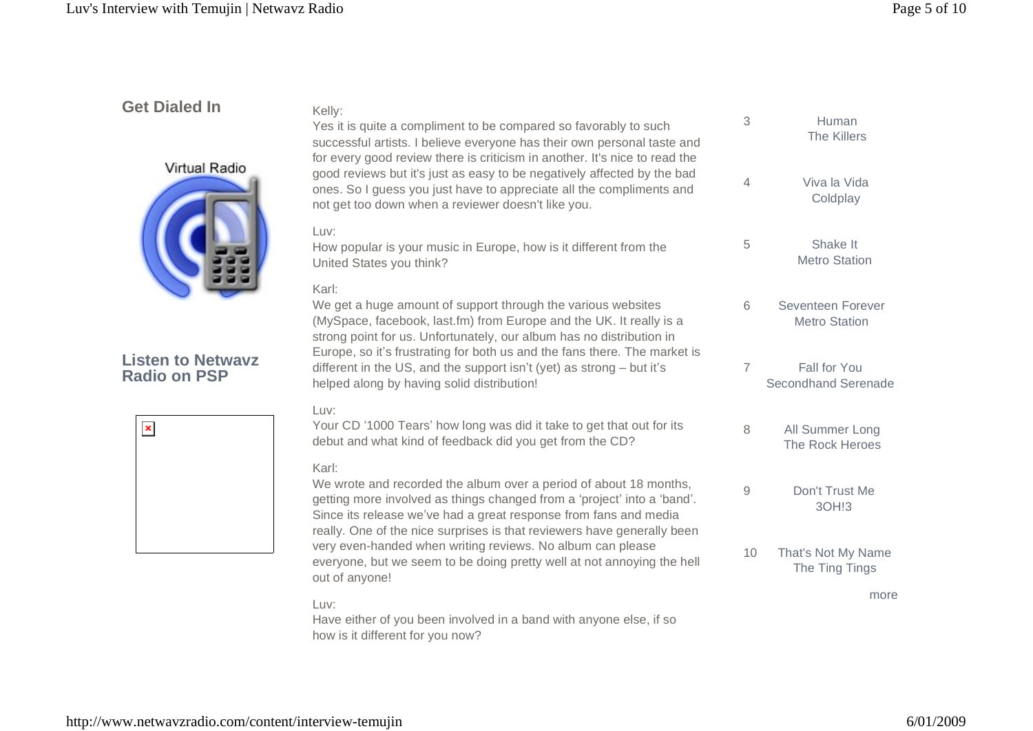# **Get Dialed In**



**Listen to Netwavz Radio on PSP**

| $\pmb{\times}$ |  |  |
|----------------|--|--|
|                |  |  |
|                |  |  |
|                |  |  |
|                |  |  |

| Kelly:<br>Yes it is quite a compliment to be compared so favorably to such<br>successful artists. I believe everyone has their own personal taste and<br>for every good review there is criticism in another. It's nice to read the                                                                  | 3                   | Human<br>The Killers                      |
|------------------------------------------------------------------------------------------------------------------------------------------------------------------------------------------------------------------------------------------------------------------------------------------------------|---------------------|-------------------------------------------|
| good reviews but it's just as easy to be negatively affected by the bad<br>ones. So I guess you just have to appreciate all the compliments and<br>not get too down when a reviewer doesn't like you.                                                                                                | $\overline{4}$      | Viva la Vida<br>Coldplay                  |
| Luv:<br>How popular is your music in Europe, how is it different from the<br>United States you think?                                                                                                                                                                                                | 5                   | Shake It<br><b>Metro Station</b>          |
| Karl:<br>We get a huge amount of support through the various websites<br>(MySpace, facebook, last.fm) from Europe and the UK. It really is a<br>strong point for us. Unfortunately, our album has no distribution in                                                                                 | 6                   | Seventeen Forever<br><b>Metro Station</b> |
| Europe, so it's frustrating for both us and the fans there. The market is<br>different in the US, and the support isn't (yet) as strong - but it's<br>helped along by having solid distribution!                                                                                                     | 7                   | Fall for You<br>Secondhand Serenade       |
| Luv:<br>Your CD '1000 Tears' how long was did it take to get that out for its<br>debut and what kind of feedback did you get from the CD?                                                                                                                                                            | 8                   | All Summer Long<br>The Rock Heroes        |
| Karl:<br>We wrote and recorded the album over a period of about 18 months,<br>getting more involved as things changed from a 'project' into a 'band'.<br>Since its release we've had a great response from fans and media<br>really. One of the nice surprises is that reviewers have generally been | $\mathcal{G}% _{0}$ | Don't Trust Me<br>3OH!3                   |
| very even-handed when writing reviews. No album can please<br>everyone, but we seem to be doing pretty well at not annoying the hell<br>out of anyone!                                                                                                                                               | 10                  | That's Not My Name<br>The Ting Tings      |
| Luv:<br>Have either of you been involved in a band with anyone else, if so                                                                                                                                                                                                                           |                     | more                                      |

how is it different for you now?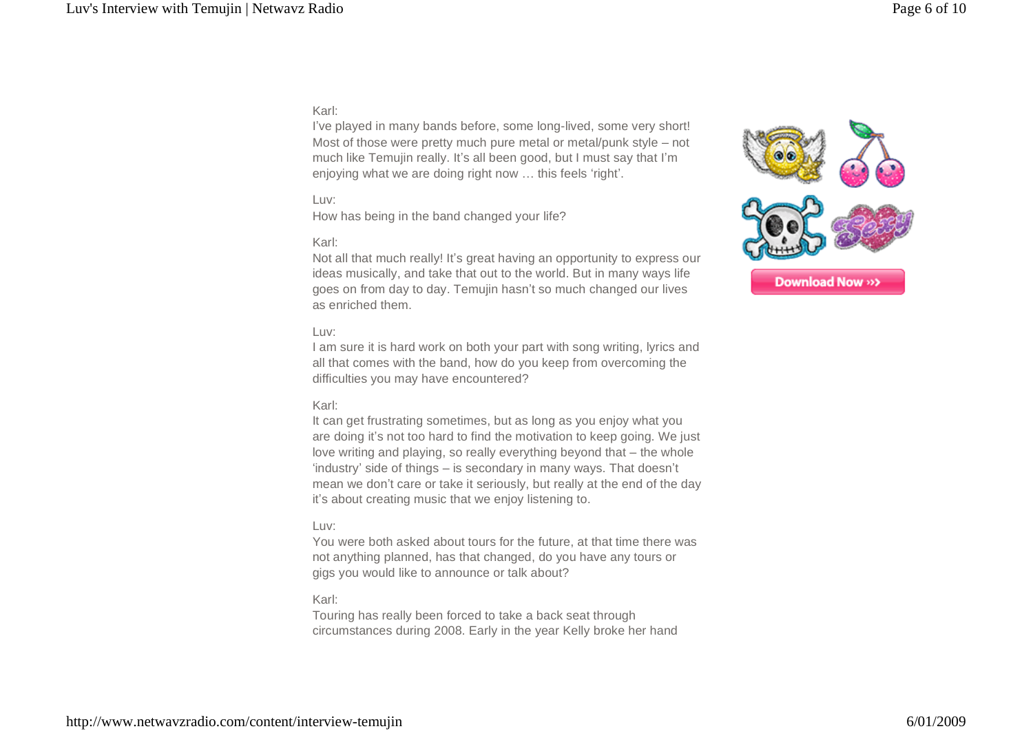### Karl:

I've played in many bands before, some long-lived, some very short! Most of those were pretty much pure metal or metal/punk style  $-$  not much like Temujin really. It's all been good, but I must say that I'm enjoying what we are doing right now ... this feels 'right'.

#### Luv:

How has being in the band changed your life?

#### Karl:

Not all that much really! Itís great having an opportunity to express our ideas musically, and take that out to the world. But in many ways life goes on from day to day. Temujin hasn't so much changed our lives as enriched them.



#### Luv:

I am sure it is hard work on both your part with song writing, lyrics and all that comes with the band, how do you keep from overcoming the difficulties you may have encountered?

#### Karl:

It can get frustrating sometimes, but as long as you enjoy what you are doing it's not too hard to find the motivation to keep going. We just love writing and playing, so really everything beyond that  $-$  the whole 'industry' side of things – is secondary in many ways. That doesn't mean we don't care or take it seriously, but really at the end of the day it's about creating music that we enjoy listening to.

#### Luv:

You were both asked about tours for the future, at that time there was not anything planned, has that changed, do you have any tours or gigs you would like to announce or talk about?

#### Karl:

Touring has really been forced to take a back seat through circumstances during 2008. Early in the year Kelly broke her hand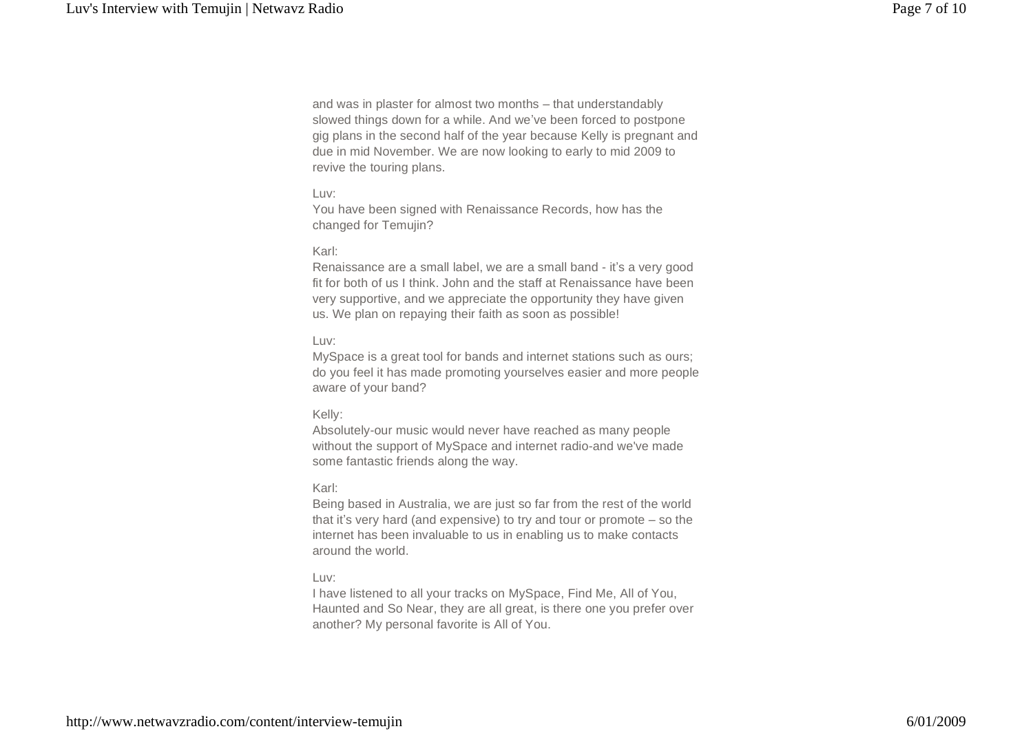and was in plaster for almost two months – that understandably slowed things down for a while. And we've been forced to postpone gig plans in the second half of the year because Kelly is pregnant and due in mid November. We are now looking to early to mid 2009 to revive the touring plans.

#### Luv:

You have been signed with Renaissance Records, how has the changed for Temujin?

#### Karl:

Renaissance are a small label, we are a small band - it's a very good fit for both of us I think. John and the staff at Renaissance have been very supportive, and we appreciate the opportunity they have given us. We plan on repaying their faith as soon as possible!

#### Luv:

MySpace is a great tool for bands and internet stations such as ours; do you feel it has made promoting yourselves easier and more people aware of your band?

#### Kelly:

Absolutely-our music would never have reached as many people without the support of MySpace and internet radio-and we've made some fantastic friends along the way.

#### Karl:

Being based in Australia, we are just so far from the rest of the world that it's very hard (and expensive) to try and tour or promote  $-$  so the internet has been invaluable to us in enabling us to make contacts around the world.

#### Luv:

I have listened to all your tracks on MySpace, Find Me, All of You, Haunted and So Near, they are all great, is there one you prefer over another? My personal favorite is All of You.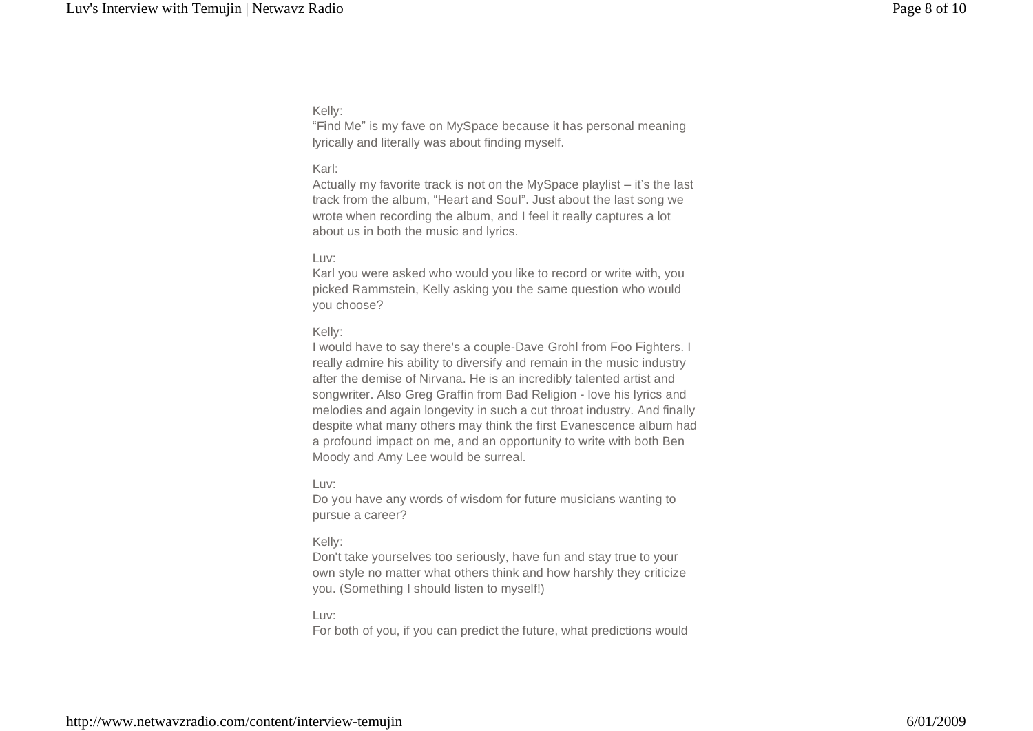#### Kelly:

ìFind Meî is my fave on MySpace because it has personal meaning lyrically and literally was about finding myself.

#### Karl:

Actually my favorite track is not on the MySpace playlist  $-$  it's the last track from the album, "Heart and Soul". Just about the last song we wrote when recording the album, and I feel it really captures a lot about us in both the music and lyrics.

#### Luv:

Karl you were asked who would you like to record or write with, you picked Rammstein, Kelly asking you the same question who would you choose?

#### Kelly:

I would have to say there's a couple-Dave Grohl from Foo Fighters. I really admire his ability to diversify and remain in the music industry after the demise of Nirvana. He is an incredibly talented artist and songwriter. Also Greg Graffin from Bad Religion - love his lyrics and melodies and again longevity in such a cut throat industry. And finally despite what many others may think the first Evanescence album had a profound impact on me, and an opportunity to write with both Ben Moody and Amy Lee would be surreal.

#### Luv:

Do you have any words of wisdom for future musicians wanting to pursue a career?

#### Kelly:

Don't take yourselves too seriously, have fun and stay true to your own style no matter what others think and how harshly they criticize you. (Something I should listen to myself!)

#### Luv:

For both of you, if you can predict the future, what predictions would